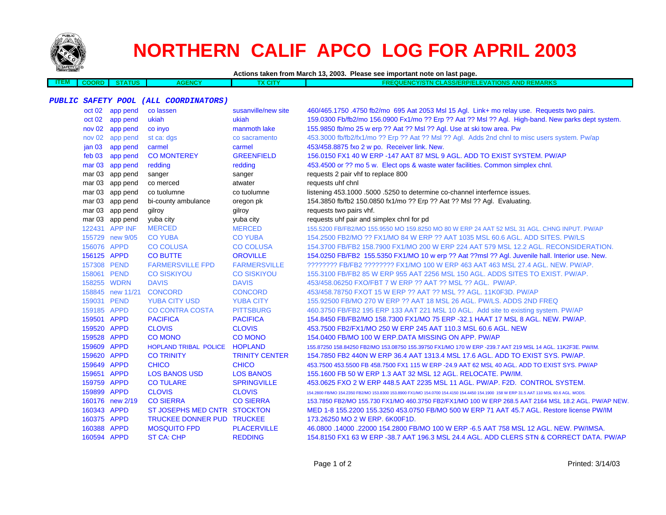

# **NORTHERN CALIF APCO LOG FOR APRIL 2003**

**Actions taken from March 13, 2003. Please see important note on last page.**

| TEM | TATID<br>STATUS | <b>AGENCY</b> | <b>CITY</b> | <b>FREQUENCY/STN CLASS/ERP/ELEVATIONS AND REMARKS</b> |
|-----|-----------------|---------------|-------------|-------------------------------------------------------|
|     |                 |               |             |                                                       |

## **PUBLIC SAFETY POOL (ALL COORDINATORS)**

|                   | oct 02 app pend  | co lassen                         | susanville/new site   | 460/465.1750.4750 fb2/mo 695 Aat 2053 Msl 15 Agl. Link+ mo relay use. Requests two pairs.                                              |
|-------------------|------------------|-----------------------------------|-----------------------|----------------------------------------------------------------------------------------------------------------------------------------|
|                   | oct 02 app pend  | ukiah                             | ukiah                 | 159.0300 Fb/fb2/mo 156.0900 Fx1/mo ?? Erp ?? Aat ?? Msl ?? Agl. High-band. New parks dept system.                                      |
|                   | nov 02 app pend  | co inyo                           | manmoth lake          | 155.9850 fb/mo 25 w erp ?? Aat ?? Msl ?? Agl. Use at ski tow area. Pw                                                                  |
|                   | nov 02 app pend  | st ca: dgs                        | co sacramento         | 453.3000 fb/fb2/fx1/mo ?? Erp ?? Aat ?? Msl ?? Agl. Adds 2nd chnl to misc users system. Pw/ap                                          |
| jan <sub>03</sub> | app pend         | carmel                            | carmel                | 453/458.8875 fxo 2 w po. Receiver link. New.                                                                                           |
|                   | feb 03 app pend  | <b>CO MONTEREY</b>                | <b>GREENFIELD</b>     | 156.0150 FX1 40 W ERP -147 AAT 87 MSL 9 AGL. ADD TO EXIST SYSTEM. PW/AP                                                                |
|                   | mar 03 app pend  | redding                           | redding               | 453.4500 or ?? mo 5 w. Elect ops & waste water facilities. Common simplex chnl.                                                        |
| mar 03            | app pend         | sanger                            | sanger                | requests 2 pair vhf to replace 800                                                                                                     |
|                   | mar 03 app pend  | co merced                         | atwater               | requests uhf chnl                                                                                                                      |
|                   | mar 03 app pend  | co tuolumne                       | co tuolumne           | listening 453.1000 .5000 .5250 to determine co-channel interfernce issues.                                                             |
|                   | mar 03 app pend  | bi-county ambulance               | oregon pk             | 154.3850 fb/fb2 150.0850 fx1/mo ?? Erp ?? Aat ?? Msl ?? Agl. Evaluating.                                                               |
|                   | mar 03 app pend  | gilroy                            | gilroy                | requests two pairs vhf.                                                                                                                |
| mar 03            | app pend         | yuba city                         | yuba city             | requests uhf pair and simplex chnl for pd                                                                                              |
|                   | 122431 APP INF   | <b>MERCED</b>                     | <b>MERCED</b>         | 155.5200 FB/FB2/MO 155.9550 MO 159.8250 MO 80 W ERP 24 AAT 52 MSL 31 AGL. CHNG INPUT. PW/AP                                            |
|                   | 155729 new 9/05  | <b>CO YUBA</b>                    | <b>CO YUBA</b>        | 154,2500 FB2/MO ?? FX1/MO 84 W ERP ?? AAT 1035 MSL 60.6 AGL, ADD SITES, PW/LS                                                          |
| 156076 APPD       |                  | <b>CO COLUSA</b>                  | <b>CO COLUSA</b>      | 154,3700 FB/FB2 158,7900 FX1/MO 200 W ERP 224 AAT 579 MSL 12.2 AGL, RECONSIDERATION.                                                   |
| 156125 APPD       |                  | <b>CO BUTTE</b>                   | <b>OROVILLE</b>       | 154.0250 FB/FB2 155.5350 FX1/MO 10 w erp ?? Aat ??msl ?? Agl. Juvenile hall. Interior use. New.                                        |
| 157308 PEND       |                  | <b>FARMERSVILLE FPD</b>           | <b>FARMERSVILLE</b>   | ???????? FB/FB2 ???????? FX1/MO 100 W ERP 463 AAT 463 MSL 27.4 AGL, NEW, PW/AP,                                                        |
| 158061 PEND       |                  | <b>CO SISKIYOU</b>                | <b>CO SISKIYOU</b>    | 155,3100 FB/FB2 85 W ERP 955 AAT 2256 MSL 150 AGL, ADDS SITES TO EXIST, PW/AP.                                                         |
| 158255 WDRN       |                  | <b>DAVIS</b>                      | <b>DAVIS</b>          | 453/458.06250 FXO/FBT 7 W ERP ?? AAT ?? MSL ?? AGL. PW/AP.                                                                             |
|                   | 158845 new 11/21 | <b>CONCORD</b>                    | <b>CONCORD</b>        | 453/458.78750 FXOT 15 W ERP ?? AAT ?? MSL ?? AGL, 11K0F3D, PW/AP                                                                       |
| 159031 PEND       |                  | <b>YUBA CITY USD</b>              | <b>YUBA CITY</b>      | 155,92500 FB/MO 270 W ERP ?? AAT 18 MSL 26 AGL, PW/LS, ADDS 2ND FREQ                                                                   |
| 159185 APPD       |                  | <b>CO CONTRA COSTA</b>            | <b>PITTSBURG</b>      | 460.3750 FB/FB2 195 ERP 133 AAT 221 MSL 10 AGL. Add site to existing system. PW/AP                                                     |
| 159501 APPD       |                  | <b>PACIFICA</b>                   | <b>PACIFICA</b>       | 154,8450 FB/FB2/MO 158,7300 FX1/MO 75 ERP -32.1 HAAT 17 MSL 8 AGL, NEW, PW/AP,                                                         |
| 159520 APPD       |                  | <b>CLOVIS</b>                     | <b>CLOVIS</b>         | 453.7500 FB2/FX1/MO 250 W ERP 245 AAT 110.3 MSL 60.6 AGL. NEW                                                                          |
| 159528 APPD       |                  | <b>CO MONO</b>                    | <b>CO MONO</b>        | 154.0400 FB/MO 100 W ERP.DATA MISSING ON APP. PW/AP                                                                                    |
| 159609 APPD       |                  | HOPLAND TRIBAL POLICE HOPLAND     |                       | 155.87250 158.84250 FB2/MO 153.08750 155.39750 FX1/MO 170 W ERP -239.7 AAT 219 MSL 14 AGL. 11K2F3E. PW/IM.                             |
| 159620 APPD       |                  | <b>CO TRINITY</b>                 | <b>TRINITY CENTER</b> | 154.7850 FB2 440N W ERP 36.4 AAT 1313.4 MSL 17.6 AGL. ADD TO EXIST SYS. PW/AP.                                                         |
| 159649 APPD       |                  | <b>CHICO</b>                      | <b>CHICO</b>          | 453.7500 453.5500 FB 458.7500 FX1 115 W ERP -24.9 AAT 62 MSL 40 AGL. ADD TO EXIST SYS. PW/AP                                           |
| 159651 APPD       |                  | <b>LOS BANOS USD</b>              | <b>LOS BANOS</b>      | 155.1600 FB 50 W ERP 1.3 AAT 32 MSL 12 AGL. RELOCATE. PW/IM.                                                                           |
| 159759 APPD       |                  | <b>CO TULARE</b>                  | <b>SPRINGVILLE</b>    | 453.0625 FXO 2 W ERP 448.5 AAT 2235 MSL 11 AGL, PW/AP, F2D, CONTROL SYSTEM.                                                            |
| 159899 APPD       |                  | <b>CLOVIS</b>                     | <b>CLOVIS</b>         | 154.2800 FB/MO 154.2350 FB2/MO 153.8300 153.8900 FX1/MO 154.0700 154.4150 154.4450 154.1900 158 W ERP 31.5 AAT 110 MSL 60.6 AGL. MODS. |
|                   | 160176 new 2/19  | <b>CO SIERRA</b>                  | <b>CO SIERRA</b>      | 153.7850 FB2/MO 155.730 FX1/MO 460.3750 FB2/FX1/MO 100 W ERP 268.5 AAT 2164 MSL 18.2 AGL. PW/AP NEW.                                   |
| 160343 APPD       |                  | ST JOSEPHS MED CNTR STOCKTON      |                       | MED 1-8 155,2200 155,3250 453,0750 FB/MO 500 W ERP 71 AAT 45.7 AGL, Restore license PW/IM                                              |
| 160375 APPD       |                  | <b>TRUCKEE DONNER PUD TRUCKEE</b> |                       | 173,26250 MO 2 W ERP, 6K00F1D.                                                                                                         |
| 160388 APPD       |                  | <b>MOSQUITO FPD</b>               | <b>PLACERVILLE</b>    | 46,0800 .14000 .22000 154,2800 FB/MO 100 W ERP -6.5 AAT 758 MSL 12 AGL. NEW. PW/IMSA.                                                  |
| 160594 APPD       |                  | <b>ST CA: CHP</b>                 | <b>REDDING</b>        | 154.8150 FX1 63 W ERP -38.7 AAT 196.3 MSL 24.4 AGL, ADD CLERS STN & CORRECT DATA, PW/AP                                                |